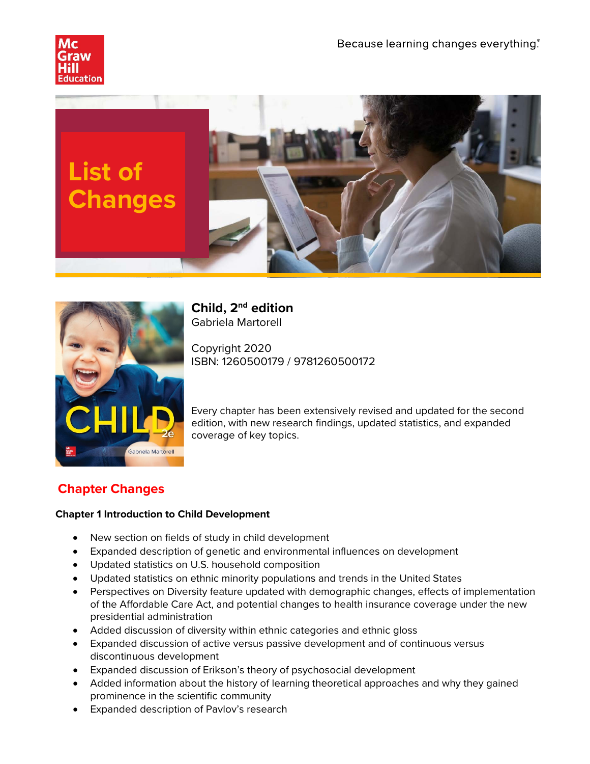





**Child, 2nd edition** Gabriela Martorell

Copyright 2020 ISBN: 1260500179 / 9781260500172

Every chapter has been extensively revised and updated for the second edition, with new research findings, updated statistics, and expanded coverage of key topics.

# **Chapter Changes**

#### **Chapter 1 Introduction to Child Development**

- New section on fields of study in child development
- Expanded description of genetic and environmental influences on development
- Updated statistics on U.S. household composition
- Updated statistics on ethnic minority populations and trends in the United States
- Perspectives on Diversity feature updated with demographic changes, effects of implementation of the Affordable Care Act, and potential changes to health insurance coverage under the new presidential administration
- Added discussion of diversity within ethnic categories and ethnic gloss
- Expanded discussion of active versus passive development and of continuous versus discontinuous development
- Expanded discussion of Erikson's theory of psychosocial development
- Added information about the history of learning theoretical approaches and why they gained prominence in the scientific community
- Expanded description of Pavlov's research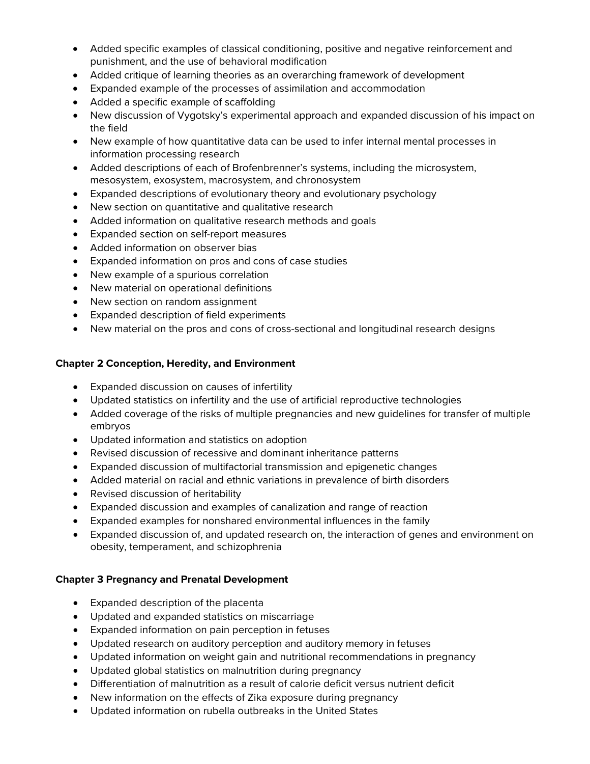- Added specific examples of classical conditioning, positive and negative reinforcement and punishment, and the use of behavioral modification
- Added critique of learning theories as an overarching framework of development
- Expanded example of the processes of assimilation and accommodation
- Added a specific example of scaffolding
- New discussion of Vygotsky's experimental approach and expanded discussion of his impact on the field
- New example of how quantitative data can be used to infer internal mental processes in information processing research
- Added descriptions of each of Brofenbrenner's systems, including the microsystem, mesosystem, exosystem, macrosystem, and chronosystem
- Expanded descriptions of evolutionary theory and evolutionary psychology
- New section on quantitative and qualitative research
- Added information on qualitative research methods and goals
- Expanded section on self-report measures
- Added information on observer bias
- Expanded information on pros and cons of case studies
- New example of a spurious correlation
- New material on operational definitions
- New section on random assignment
- Expanded description of field experiments
- New material on the pros and cons of cross-sectional and longitudinal research designs

#### **Chapter 2 Conception, Heredity, and Environment**

- Expanded discussion on causes of infertility
- Updated statistics on infertility and the use of artificial reproductive technologies
- Added coverage of the risks of multiple pregnancies and new guidelines for transfer of multiple embryos
- Updated information and statistics on adoption
- Revised discussion of recessive and dominant inheritance patterns
- Expanded discussion of multifactorial transmission and epigenetic changes
- Added material on racial and ethnic variations in prevalence of birth disorders
- Revised discussion of heritability
- Expanded discussion and examples of canalization and range of reaction
- Expanded examples for nonshared environmental influences in the family
- Expanded discussion of, and updated research on, the interaction of genes and environment on obesity, temperament, and schizophrenia

#### **Chapter 3 Pregnancy and Prenatal Development**

- Expanded description of the placenta
- Updated and expanded statistics on miscarriage
- Expanded information on pain perception in fetuses
- Updated research on auditory perception and auditory memory in fetuses
- Updated information on weight gain and nutritional recommendations in pregnancy
- Updated global statistics on malnutrition during pregnancy
- Differentiation of malnutrition as a result of calorie deficit versus nutrient deficit
- New information on the effects of Zika exposure during pregnancy
- Updated information on rubella outbreaks in the United States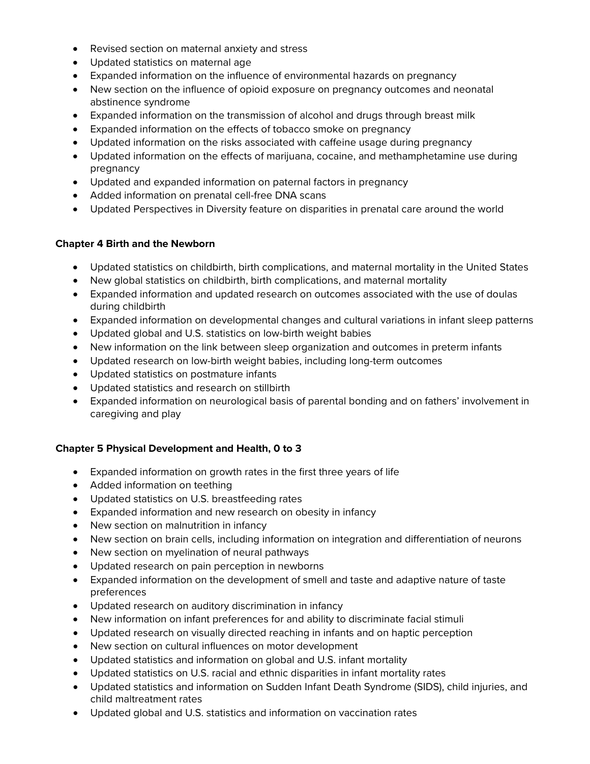- Revised section on maternal anxiety and stress
- Updated statistics on maternal age
- Expanded information on the influence of environmental hazards on pregnancy
- New section on the influence of opioid exposure on pregnancy outcomes and neonatal abstinence syndrome
- Expanded information on the transmission of alcohol and drugs through breast milk
- Expanded information on the effects of tobacco smoke on pregnancy
- Updated information on the risks associated with caffeine usage during pregnancy
- Updated information on the effects of marijuana, cocaine, and methamphetamine use during pregnancy
- Updated and expanded information on paternal factors in pregnancy
- Added information on prenatal cell-free DNA scans
- Updated Perspectives in Diversity feature on disparities in prenatal care around the world

#### **Chapter 4 Birth and the Newborn**

- Updated statistics on childbirth, birth complications, and maternal mortality in the United States
- New global statistics on childbirth, birth complications, and maternal mortality
- Expanded information and updated research on outcomes associated with the use of doulas during childbirth
- Expanded information on developmental changes and cultural variations in infant sleep patterns
- Updated global and U.S. statistics on low-birth weight babies
- New information on the link between sleep organization and outcomes in preterm infants
- Updated research on low-birth weight babies, including long-term outcomes
- Updated statistics on postmature infants
- Updated statistics and research on stillbirth
- Expanded information on neurological basis of parental bonding and on fathers' involvement in caregiving and play

#### **Chapter 5 Physical Development and Health, 0 to 3**

- Expanded information on growth rates in the first three years of life
- Added information on teething
- Updated statistics on U.S. breastfeeding rates
- Expanded information and new research on obesity in infancy
- New section on malnutrition in infancy
- New section on brain cells, including information on integration and differentiation of neurons
- New section on myelination of neural pathways
- Updated research on pain perception in newborns
- Expanded information on the development of smell and taste and adaptive nature of taste preferences
- Updated research on auditory discrimination in infancy
- New information on infant preferences for and ability to discriminate facial stimuli
- Updated research on visually directed reaching in infants and on haptic perception
- New section on cultural influences on motor development
- Updated statistics and information on global and U.S. infant mortality
- Updated statistics on U.S. racial and ethnic disparities in infant mortality rates
- Updated statistics and information on Sudden Infant Death Syndrome (SIDS), child injuries, and child maltreatment rates
- Updated global and U.S. statistics and information on vaccination rates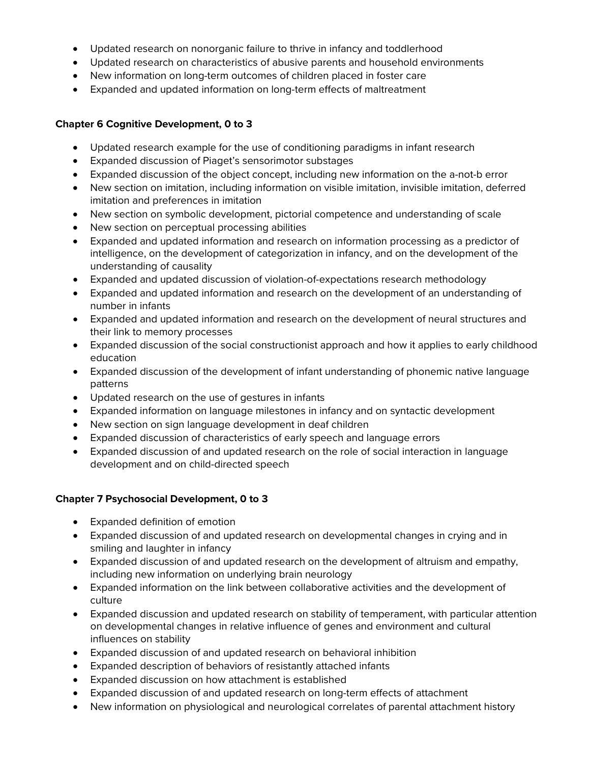- Updated research on nonorganic failure to thrive in infancy and toddlerhood
- Updated research on characteristics of abusive parents and household environments
- New information on long-term outcomes of children placed in foster care
- Expanded and updated information on long-term effects of maltreatment

#### **Chapter 6 Cognitive Development, 0 to 3**

- Updated research example for the use of conditioning paradigms in infant research
- Expanded discussion of Piaget's sensorimotor substages
- Expanded discussion of the object concept, including new information on the a-not-b error
- New section on imitation, including information on visible imitation, invisible imitation, deferred imitation and preferences in imitation
- New section on symbolic development, pictorial competence and understanding of scale
- New section on perceptual processing abilities
- Expanded and updated information and research on information processing as a predictor of intelligence, on the development of categorization in infancy, and on the development of the understanding of causality
- Expanded and updated discussion of violation-of-expectations research methodology
- Expanded and updated information and research on the development of an understanding of number in infants
- Expanded and updated information and research on the development of neural structures and their link to memory processes
- Expanded discussion of the social constructionist approach and how it applies to early childhood education
- Expanded discussion of the development of infant understanding of phonemic native language patterns
- Updated research on the use of gestures in infants
- Expanded information on language milestones in infancy and on syntactic development
- New section on sign language development in deaf children
- Expanded discussion of characteristics of early speech and language errors
- Expanded discussion of and updated research on the role of social interaction in language development and on child-directed speech

## **Chapter 7 Psychosocial Development, 0 to 3**

- Expanded definition of emotion
- Expanded discussion of and updated research on developmental changes in crying and in smiling and laughter in infancy
- Expanded discussion of and updated research on the development of altruism and empathy, including new information on underlying brain neurology
- Expanded information on the link between collaborative activities and the development of culture
- Expanded discussion and updated research on stability of temperament, with particular attention on developmental changes in relative influence of genes and environment and cultural influences on stability
- Expanded discussion of and updated research on behavioral inhibition
- Expanded description of behaviors of resistantly attached infants
- Expanded discussion on how attachment is established
- Expanded discussion of and updated research on long-term effects of attachment
- New information on physiological and neurological correlates of parental attachment history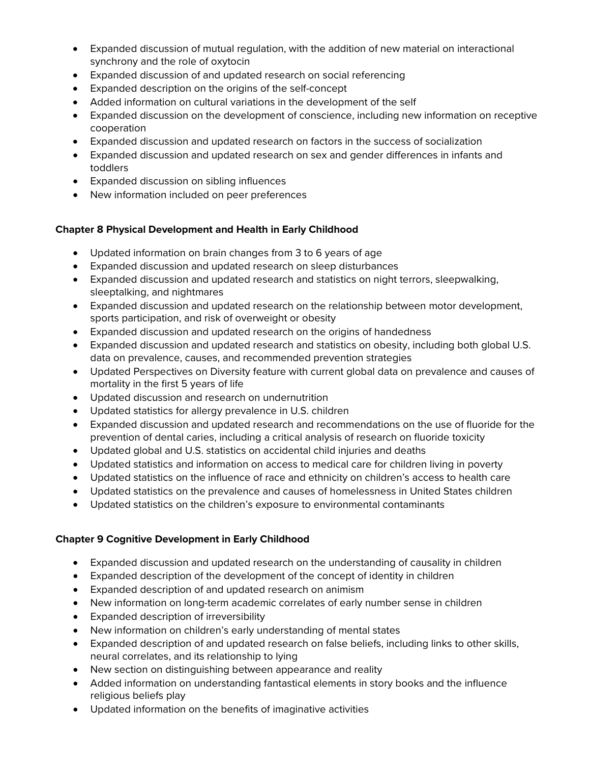- Expanded discussion of mutual regulation, with the addition of new material on interactional synchrony and the role of oxytocin
- Expanded discussion of and updated research on social referencing
- Expanded description on the origins of the self-concept
- Added information on cultural variations in the development of the self
- Expanded discussion on the development of conscience, including new information on receptive cooperation
- Expanded discussion and updated research on factors in the success of socialization
- Expanded discussion and updated research on sex and gender differences in infants and toddlers
- Expanded discussion on sibling influences
- New information included on peer preferences

### **Chapter 8 Physical Development and Health in Early Childhood**

- Updated information on brain changes from 3 to 6 years of age
- Expanded discussion and updated research on sleep disturbances
- Expanded discussion and updated research and statistics on night terrors, sleepwalking, sleeptalking, and nightmares
- Expanded discussion and updated research on the relationship between motor development, sports participation, and risk of overweight or obesity
- Expanded discussion and updated research on the origins of handedness
- Expanded discussion and updated research and statistics on obesity, including both global U.S. data on prevalence, causes, and recommended prevention strategies
- Updated Perspectives on Diversity feature with current global data on prevalence and causes of mortality in the first 5 years of life
- Updated discussion and research on undernutrition
- Updated statistics for allergy prevalence in U.S. children
- Expanded discussion and updated research and recommendations on the use of fluoride for the prevention of dental caries, including a critical analysis of research on fluoride toxicity
- Updated global and U.S. statistics on accidental child injuries and deaths
- Updated statistics and information on access to medical care for children living in poverty
- Updated statistics on the influence of race and ethnicity on children's access to health care
- Updated statistics on the prevalence and causes of homelessness in United States children
- Updated statistics on the children's exposure to environmental contaminants

#### **Chapter 9 Cognitive Development in Early Childhood**

- Expanded discussion and updated research on the understanding of causality in children
- Expanded description of the development of the concept of identity in children
- Expanded description of and updated research on animism
- New information on long-term academic correlates of early number sense in children
- Expanded description of irreversibility
- New information on children's early understanding of mental states
- Expanded description of and updated research on false beliefs, including links to other skills, neural correlates, and its relationship to lying
- New section on distinguishing between appearance and reality
- Added information on understanding fantastical elements in story books and the influence religious beliefs play
- Updated information on the benefits of imaginative activities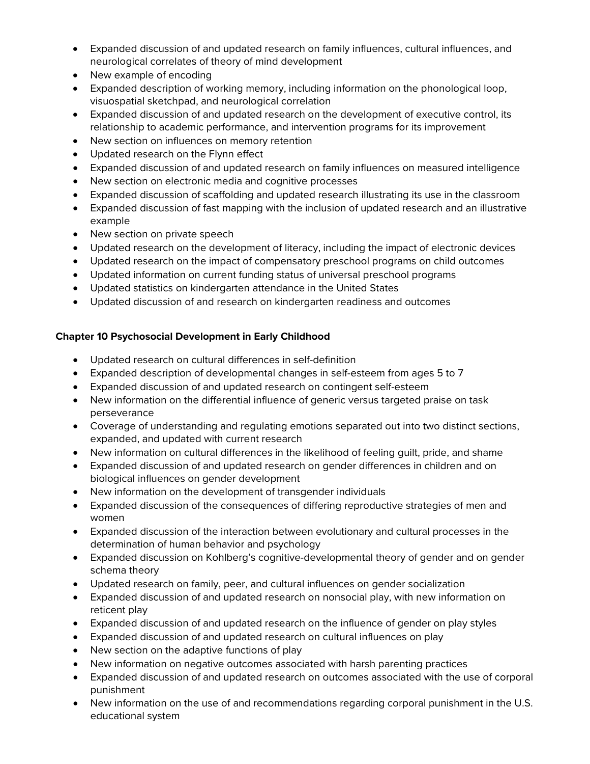- Expanded discussion of and updated research on family influences, cultural influences, and neurological correlates of theory of mind development
- New example of encoding
- Expanded description of working memory, including information on the phonological loop, visuospatial sketchpad, and neurological correlation
- Expanded discussion of and updated research on the development of executive control, its relationship to academic performance, and intervention programs for its improvement
- New section on influences on memory retention
- Updated research on the Flynn effect
- Expanded discussion of and updated research on family influences on measured intelligence
- New section on electronic media and cognitive processes
- Expanded discussion of scaffolding and updated research illustrating its use in the classroom
- Expanded discussion of fast mapping with the inclusion of updated research and an illustrative example
- New section on private speech
- Updated research on the development of literacy, including the impact of electronic devices
- Updated research on the impact of compensatory preschool programs on child outcomes
- Updated information on current funding status of universal preschool programs
- Updated statistics on kindergarten attendance in the United States
- Updated discussion of and research on kindergarten readiness and outcomes

## **Chapter 10 Psychosocial Development in Early Childhood**

- Updated research on cultural differences in self-definition
- Expanded description of developmental changes in self-esteem from ages 5 to 7
- Expanded discussion of and updated research on contingent self-esteem
- New information on the differential influence of generic versus targeted praise on task perseverance
- Coverage of understanding and regulating emotions separated out into two distinct sections, expanded, and updated with current research
- New information on cultural differences in the likelihood of feeling guilt, pride, and shame
- Expanded discussion of and updated research on gender differences in children and on biological influences on gender development
- New information on the development of transgender individuals
- Expanded discussion of the consequences of differing reproductive strategies of men and women
- Expanded discussion of the interaction between evolutionary and cultural processes in the determination of human behavior and psychology
- Expanded discussion on Kohlberg's cognitive-developmental theory of gender and on gender schema theory
- Updated research on family, peer, and cultural influences on gender socialization
- Expanded discussion of and updated research on nonsocial play, with new information on reticent play
- Expanded discussion of and updated research on the influence of gender on play styles
- Expanded discussion of and updated research on cultural influences on play
- New section on the adaptive functions of play
- New information on negative outcomes associated with harsh parenting practices
- Expanded discussion of and updated research on outcomes associated with the use of corporal punishment
- New information on the use of and recommendations regarding corporal punishment in the U.S. educational system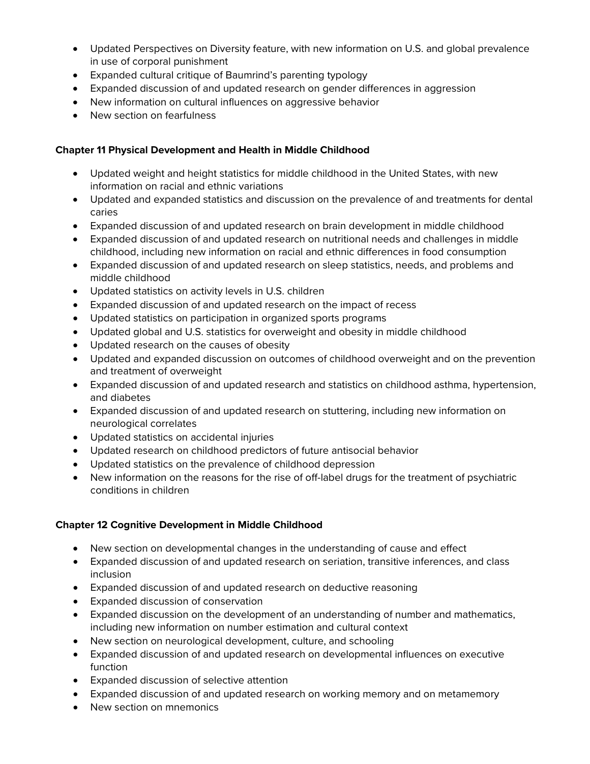- Updated Perspectives on Diversity feature, with new information on U.S. and global prevalence in use of corporal punishment
- Expanded cultural critique of Baumrind's parenting typology
- Expanded discussion of and updated research on gender differences in aggression
- New information on cultural influences on aggressive behavior
- New section on fearfulness

#### **Chapter 11 Physical Development and Health in Middle Childhood**

- Updated weight and height statistics for middle childhood in the United States, with new information on racial and ethnic variations
- Updated and expanded statistics and discussion on the prevalence of and treatments for dental caries
- Expanded discussion of and updated research on brain development in middle childhood
- Expanded discussion of and updated research on nutritional needs and challenges in middle childhood, including new information on racial and ethnic differences in food consumption
- Expanded discussion of and updated research on sleep statistics, needs, and problems and middle childhood
- Updated statistics on activity levels in U.S. children
- Expanded discussion of and updated research on the impact of recess
- Updated statistics on participation in organized sports programs
- Updated global and U.S. statistics for overweight and obesity in middle childhood
- Updated research on the causes of obesity
- Updated and expanded discussion on outcomes of childhood overweight and on the prevention and treatment of overweight
- Expanded discussion of and updated research and statistics on childhood asthma, hypertension, and diabetes
- Expanded discussion of and updated research on stuttering, including new information on neurological correlates
- Updated statistics on accidental injuries
- Updated research on childhood predictors of future antisocial behavior
- Updated statistics on the prevalence of childhood depression
- New information on the reasons for the rise of off-label drugs for the treatment of psychiatric conditions in children

#### **Chapter 12 Cognitive Development in Middle Childhood**

- New section on developmental changes in the understanding of cause and effect
- Expanded discussion of and updated research on seriation, transitive inferences, and class inclusion
- Expanded discussion of and updated research on deductive reasoning
- Expanded discussion of conservation
- Expanded discussion on the development of an understanding of number and mathematics, including new information on number estimation and cultural context
- New section on neurological development, culture, and schooling
- Expanded discussion of and updated research on developmental influences on executive function
- Expanded discussion of selective attention
- Expanded discussion of and updated research on working memory and on metamemory
- New section on mnemonics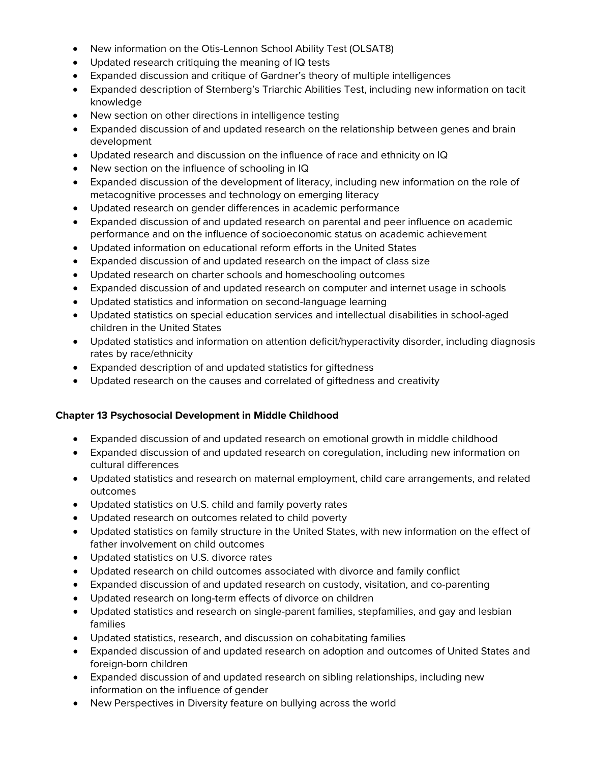- New information on the Otis-Lennon School Ability Test (OLSAT8)
- Updated research critiquing the meaning of IQ tests
- Expanded discussion and critique of Gardner's theory of multiple intelligences
- Expanded description of Sternberg's Triarchic Abilities Test, including new information on tacit knowledge
- New section on other directions in intelligence testing
- Expanded discussion of and updated research on the relationship between genes and brain development
- Updated research and discussion on the influence of race and ethnicity on IQ
- New section on the influence of schooling in IQ
- Expanded discussion of the development of literacy, including new information on the role of metacognitive processes and technology on emerging literacy
- Updated research on gender differences in academic performance
- Expanded discussion of and updated research on parental and peer influence on academic performance and on the influence of socioeconomic status on academic achievement
- Updated information on educational reform efforts in the United States
- Expanded discussion of and updated research on the impact of class size
- Updated research on charter schools and homeschooling outcomes
- Expanded discussion of and updated research on computer and internet usage in schools
- Updated statistics and information on second-language learning
- Updated statistics on special education services and intellectual disabilities in school-aged children in the United States
- Updated statistics and information on attention deficit/hyperactivity disorder, including diagnosis rates by race/ethnicity
- Expanded description of and updated statistics for giftedness
- Updated research on the causes and correlated of giftedness and creativity

#### **Chapter 13 Psychosocial Development in Middle Childhood**

- Expanded discussion of and updated research on emotional growth in middle childhood
- Expanded discussion of and updated research on coregulation, including new information on cultural differences
- Updated statistics and research on maternal employment, child care arrangements, and related outcomes
- Updated statistics on U.S. child and family poverty rates
- Updated research on outcomes related to child poverty
- Updated statistics on family structure in the United States, with new information on the effect of father involvement on child outcomes
- Updated statistics on U.S. divorce rates
- Updated research on child outcomes associated with divorce and family conflict
- Expanded discussion of and updated research on custody, visitation, and co-parenting
- Updated research on long-term effects of divorce on children
- Updated statistics and research on single-parent families, stepfamilies, and gay and lesbian families
- Updated statistics, research, and discussion on cohabitating families
- Expanded discussion of and updated research on adoption and outcomes of United States and foreign-born children
- Expanded discussion of and updated research on sibling relationships, including new information on the influence of gender
- New Perspectives in Diversity feature on bullying across the world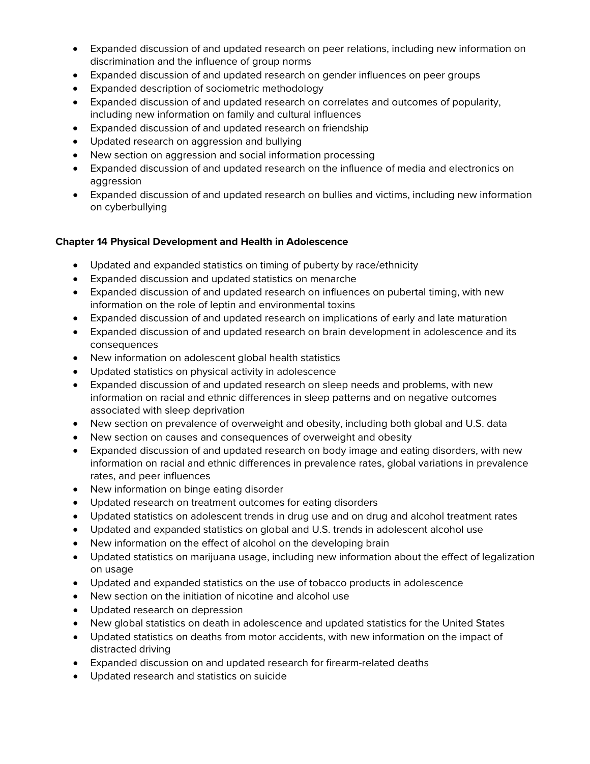- Expanded discussion of and updated research on peer relations, including new information on discrimination and the influence of group norms
- Expanded discussion of and updated research on gender influences on peer groups
- Expanded description of sociometric methodology
- Expanded discussion of and updated research on correlates and outcomes of popularity, including new information on family and cultural influences
- Expanded discussion of and updated research on friendship
- Updated research on aggression and bullying
- New section on aggression and social information processing
- Expanded discussion of and updated research on the influence of media and electronics on aggression
- Expanded discussion of and updated research on bullies and victims, including new information on cyberbullying

## **Chapter 14 Physical Development and Health in Adolescence**

- Updated and expanded statistics on timing of puberty by race/ethnicity
- Expanded discussion and updated statistics on menarche
- Expanded discussion of and updated research on influences on pubertal timing, with new information on the role of leptin and environmental toxins
- Expanded discussion of and updated research on implications of early and late maturation
- Expanded discussion of and updated research on brain development in adolescence and its consequences
- New information on adolescent global health statistics
- Updated statistics on physical activity in adolescence
- Expanded discussion of and updated research on sleep needs and problems, with new information on racial and ethnic differences in sleep patterns and on negative outcomes associated with sleep deprivation
- New section on prevalence of overweight and obesity, including both global and U.S. data
- New section on causes and consequences of overweight and obesity
- Expanded discussion of and updated research on body image and eating disorders, with new information on racial and ethnic differences in prevalence rates, global variations in prevalence rates, and peer influences
- New information on binge eating disorder
- Updated research on treatment outcomes for eating disorders
- Updated statistics on adolescent trends in drug use and on drug and alcohol treatment rates
- Updated and expanded statistics on global and U.S. trends in adolescent alcohol use
- New information on the effect of alcohol on the developing brain
- Updated statistics on marijuana usage, including new information about the effect of legalization on usage
- Updated and expanded statistics on the use of tobacco products in adolescence
- New section on the initiation of nicotine and alcohol use
- Updated research on depression
- New global statistics on death in adolescence and updated statistics for the United States
- Updated statistics on deaths from motor accidents, with new information on the impact of distracted driving
- Expanded discussion on and updated research for firearm-related deaths
- Updated research and statistics on suicide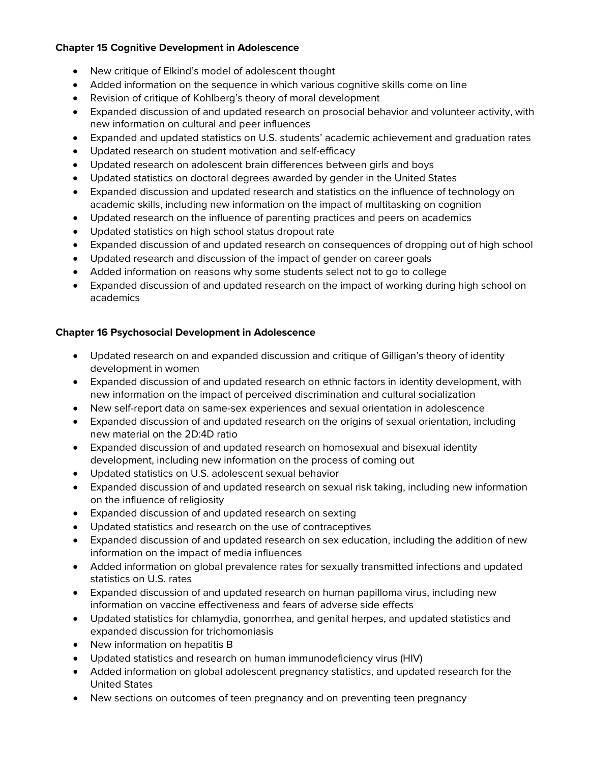### **Chapter 15 Cognitive Development in Adolescence**

- New critique of Elkind's model of adolescent thought
- Added information on the sequence in which various cognitive skills come on line
- Revision of critique of Kohlberg's theory of moral development
- Expanded discussion of and updated research on prosocial behavior and volunteer activity, with new information on cultural and peer influences
- Expanded and updated statistics on U.S. students' academic achievement and graduation rates
- Updated research on student motivation and self-efficacy
- Updated research on adolescent brain differences between girls and boys
- Updated statistics on doctoral degrees awarded by gender in the United States
- Expanded discussion and updated research and statistics on the influence of technology on academic skills, including new information on the impact of multitasking on cognition
- Updated research on the influence of parenting practices and peers on academics
- Updated statistics on high school status dropout rate
- Expanded discussion of and updated research on consequences of dropping out of high school
- Updated research and discussion of the impact of gender on career goals
- Added information on reasons why some students select not to go to college
- Expanded discussion of and updated research on the impact of working during high school on academics

## **Chapter 16 Psychosocial Development in Adolescence**

- Updated research on and expanded discussion and critique of Gilligan's theory of identity development in women
- Expanded discussion of and updated research on ethnic factors in identity development, with new information on the impact of perceived discrimination and cultural socialization
- New self-report data on same-sex experiences and sexual orientation in adolescence
- Expanded discussion of and updated research on the origins of sexual orientation, including new material on the 2D:4D ratio
- Expanded discussion of and updated research on homosexual and bisexual identity development, including new information on the process of coming out
- Updated statistics on U.S. adolescent sexual behavior
- Expanded discussion of and updated research on sexual risk taking, including new information on the influence of religiosity
- Expanded discussion of and updated research on sexting
- Updated statistics and research on the use of contraceptives
- Expanded discussion of and updated research on sex education, including the addition of new information on the impact of media influences
- Added information on global prevalence rates for sexually transmitted infections and updated statistics on U.S. rates
- Expanded discussion of and updated research on human papilloma virus, including new information on vaccine effectiveness and fears of adverse side effects
- Updated statistics for chlamydia, gonorrhea, and genital herpes, and updated statistics and expanded discussion for trichomoniasis
- New information on hepatitis B
- Updated statistics and research on human immunodeficiency virus (HIV)
- Added information on global adolescent pregnancy statistics, and updated research for the United States
- New sections on outcomes of teen pregnancy and on preventing teen pregnancy